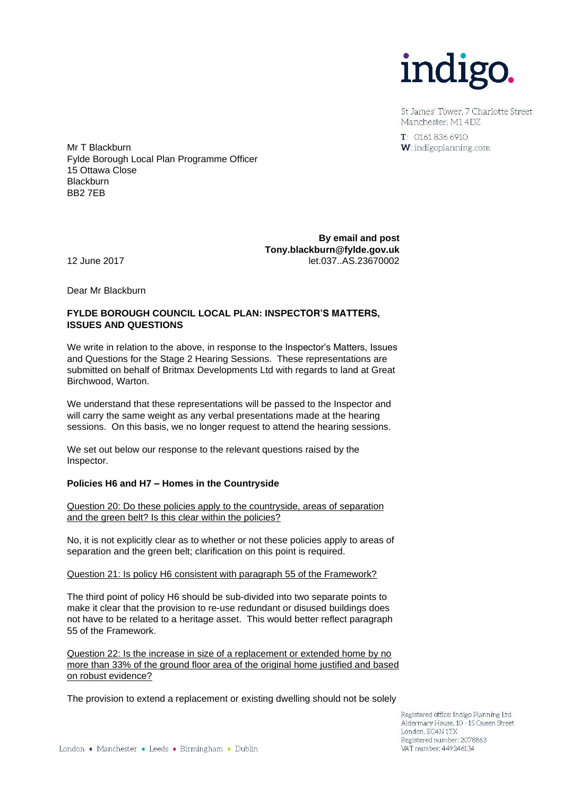

St James' Tower 7 Charlotte Street Manchester, M1 4DZ

 $T: 01618366910$ W: indigoplanning.com

Mr T Blackburn Fylde Borough Local Plan Programme Officer 15 Ottawa Close **Blackburn** BB2 7EB

**By email and post Tony.blackburn@fylde.gov.uk**  12 June 2017 let.037..AS.23670002

Dear Mr Blackburn

## **FYLDE BOROUGH COUNCIL LOCAL PLAN: INSPECTOR'S MATTERS, ISSUES AND QUESTIONS**

We write in relation to the above, in response to the Inspector's Matters, Issues and Questions for the Stage 2 Hearing Sessions. These representations are submitted on behalf of Britmax Developments Ltd with regards to land at Great Birchwood, Warton.

We understand that these representations will be passed to the Inspector and will carry the same weight as any verbal presentations made at the hearing sessions. On this basis, we no longer request to attend the hearing sessions.

We set out below our response to the relevant questions raised by the Inspector.

## **Policies H6 and H7 – Homes in the Countryside**

Question 20: Do these policies apply to the countryside, areas of separation and the green belt? Is this clear within the policies?

No, it is not explicitly clear as to whether or not these policies apply to areas of separation and the green belt; clarification on this point is required.

Question 21: Is policy H6 consistent with paragraph 55 of the Framework?

The third point of policy H6 should be sub-divided into two separate points to make it clear that the provision to re-use redundant or disused buildings does not have to be related to a heritage asset. This would better reflect paragraph 55 of the Framework.

Question 22: Is the increase in size of a replacement or extended home by no more than 33% of the ground floor area of the original home justified and based on robust evidence?

The provision to extend a replacement or existing dwelling should not be solely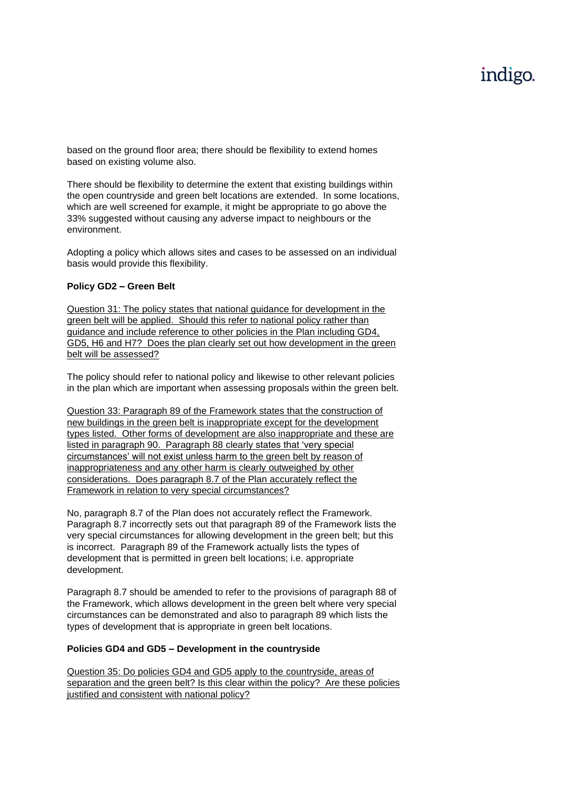# indigo.

based on the ground floor area; there should be flexibility to extend homes based on existing volume also.

There should be flexibility to determine the extent that existing buildings within the open countryside and green belt locations are extended. In some locations, which are well screened for example, it might be appropriate to go above the 33% suggested without causing any adverse impact to neighbours or the environment.

Adopting a policy which allows sites and cases to be assessed on an individual basis would provide this flexibility.

### **Policy GD2 – Green Belt**

Question 31: The policy states that national guidance for development in the green belt will be applied. Should this refer to national policy rather than guidance and include reference to other policies in the Plan including GD4, GD5, H6 and H7? Does the plan clearly set out how development in the green belt will be assessed?

The policy should refer to national policy and likewise to other relevant policies in the plan which are important when assessing proposals within the green belt.

Question 33: Paragraph 89 of the Framework states that the construction of new buildings in the green belt is inappropriate except for the development types listed. Other forms of development are also inappropriate and these are listed in paragraph 90. Paragraph 88 clearly states that 'very special circumstances' will not exist unless harm to the green belt by reason of inappropriateness and any other harm is clearly outweighed by other considerations. Does paragraph 8.7 of the Plan accurately reflect the Framework in relation to very special circumstances?

No, paragraph 8.7 of the Plan does not accurately reflect the Framework. Paragraph 8.7 incorrectly sets out that paragraph 89 of the Framework lists the very special circumstances for allowing development in the green belt; but this is incorrect. Paragraph 89 of the Framework actually lists the types of development that is permitted in green belt locations; i.e. appropriate development.

Paragraph 8.7 should be amended to refer to the provisions of paragraph 88 of the Framework, which allows development in the green belt where very special circumstances can be demonstrated and also to paragraph 89 which lists the types of development that is appropriate in green belt locations.

### **Policies GD4 and GD5 – Development in the countryside**

Question 35: Do policies GD4 and GD5 apply to the countryside, areas of separation and the green belt? Is this clear within the policy? Are these policies justified and consistent with national policy?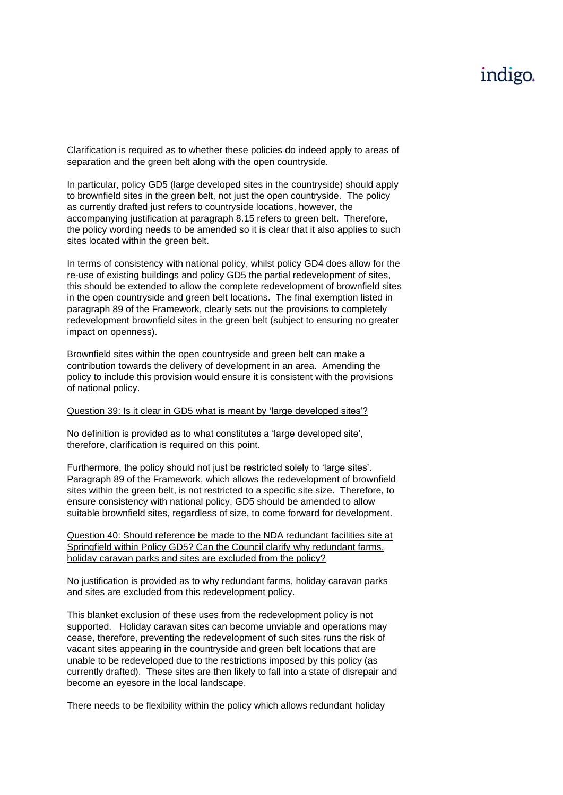## indigo.

Clarification is required as to whether these policies do indeed apply to areas of separation and the green belt along with the open countryside.

In particular, policy GD5 (large developed sites in the countryside) should apply to brownfield sites in the green belt, not just the open countryside. The policy as currently drafted just refers to countryside locations, however, the accompanying justification at paragraph 8.15 refers to green belt. Therefore, the policy wording needs to be amended so it is clear that it also applies to such sites located within the green belt.

In terms of consistency with national policy, whilst policy GD4 does allow for the re-use of existing buildings and policy GD5 the partial redevelopment of sites, this should be extended to allow the complete redevelopment of brownfield sites in the open countryside and green belt locations. The final exemption listed in paragraph 89 of the Framework, clearly sets out the provisions to completely redevelopment brownfield sites in the green belt (subject to ensuring no greater impact on openness).

Brownfield sites within the open countryside and green belt can make a contribution towards the delivery of development in an area. Amending the policy to include this provision would ensure it is consistent with the provisions of national policy.

#### Question 39: Is it clear in GD5 what is meant by 'large developed sites'?

No definition is provided as to what constitutes a 'large developed site', therefore, clarification is required on this point.

Furthermore, the policy should not just be restricted solely to 'large sites'. Paragraph 89 of the Framework, which allows the redevelopment of brownfield sites within the green belt, is not restricted to a specific site size. Therefore, to ensure consistency with national policy, GD5 should be amended to allow suitable brownfield sites, regardless of size, to come forward for development.

Question 40: Should reference be made to the NDA redundant facilities site at Springfield within Policy GD5? Can the Council clarify why redundant farms, holiday caravan parks and sites are excluded from the policy?

No justification is provided as to why redundant farms, holiday caravan parks and sites are excluded from this redevelopment policy.

This blanket exclusion of these uses from the redevelopment policy is not supported. Holiday caravan sites can become unviable and operations may cease, therefore, preventing the redevelopment of such sites runs the risk of vacant sites appearing in the countryside and green belt locations that are unable to be redeveloped due to the restrictions imposed by this policy (as currently drafted). These sites are then likely to fall into a state of disrepair and become an eyesore in the local landscape.

There needs to be flexibility within the policy which allows redundant holiday